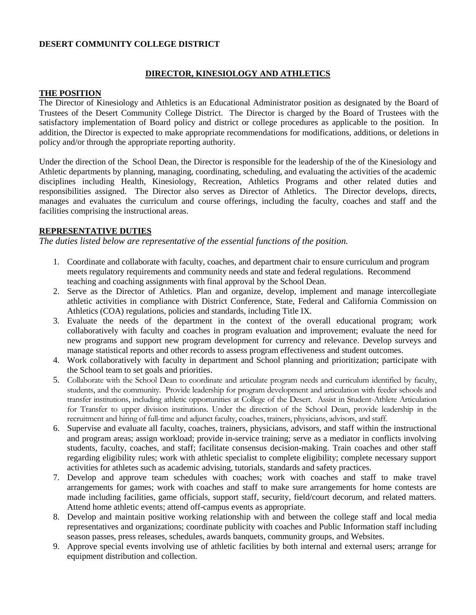### **DESERT COMMUNITY COLLEGE DISTRICT**

### **DIRECTOR, KINESIOLOGY AND ATHLETICS**

#### **THE POSITION**

The Director of Kinesiology and Athletics is an Educational Administrator position as designated by the Board of Trustees of the Desert Community College District. The Director is charged by the Board of Trustees with the satisfactory implementation of Board policy and district or college procedures as applicable to the position. In addition, the Director is expected to make appropriate recommendations for modifications, additions, or deletions in policy and/or through the appropriate reporting authority.

Under the direction of the School Dean, the Director is responsible for the leadership of the of the Kinesiology and Athletic departments by planning, managing, coordinating, scheduling, and evaluating the activities of the academic disciplines including Health, Kinesiology, Recreation, Athletics Programs and other related duties and responsibilities assigned. The Director also serves as Director of Athletics. The Director develops, directs, manages and evaluates the curriculum and course offerings, including the faculty, coaches and staff and the facilities comprising the instructional areas.

### **REPRESENTATIVE DUTIES**

*The duties listed below are representative of the essential functions of the position.*

- 1. Coordinate and collaborate with faculty, coaches, and department chair to ensure curriculum and program meets regulatory requirements and community needs and state and federal regulations. Recommend teaching and coaching assignments with final approval by the School Dean.
- 2. Serve as the Director of Athletics. Plan and organize, develop, implement and manage intercollegiate athletic activities in compliance with District Conference, State, Federal and California Commission on Athletics (COA) regulations, policies and standards, including Title IX.
- 3. Evaluate the needs of the department in the context of the overall educational program; work collaboratively with faculty and coaches in program evaluation and improvement; evaluate the need for new programs and support new program development for currency and relevance. Develop surveys and manage statistical reports and other records to assess program effectiveness and student outcomes.
- 4. Work collaboratively with faculty in department and School planning and prioritization; participate with the School team to set goals and priorities.
- 5. Collaborate with the School Dean to coordinate and articulate program needs and curriculum identified by faculty, students, and the community. Provide leadership for program development and articulation with feeder schools and transfer institutions, including athletic opportunities at College of the Desert. Assist in Student-Athlete Articulation for Transfer to upper division institutions. Under the direction of the School Dean, provide leadership in the recruitment and hiring of full-time and adjunct faculty, coaches, trainers, physicians, advisors, and staff.
- 6. Supervise and evaluate all faculty, coaches, trainers, physicians, advisors, and staff within the instructional and program areas; assign workload; provide in-service training; serve as a mediator in conflicts involving students, faculty, coaches, and staff; facilitate consensus decision-making. Train coaches and other staff regarding eligibility rules; work with athletic specialist to complete eligibility; complete necessary support activities for athletes such as academic advising, tutorials, standards and safety practices.
- 7. Develop and approve team schedules with coaches; work with coaches and staff to make travel arrangements for games; work with coaches and staff to make sure arrangements for home contests are made including facilities, game officials, support staff, security, field/court decorum, and related matters. Attend home athletic events; attend off-campus events as appropriate.
- 8. Develop and maintain positive working relationship with and between the college staff and local media representatives and organizations; coordinate publicity with coaches and Public Information staff including season passes, press releases, schedules, awards banquets, community groups, and Websites.
- 9. Approve special events involving use of athletic facilities by both internal and external users; arrange for equipment distribution and collection.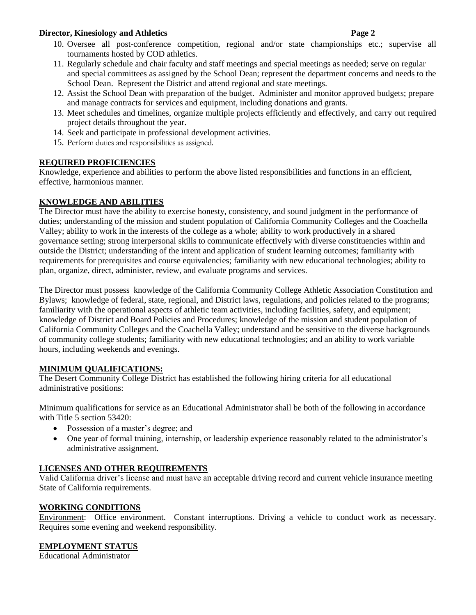### **Director, Kinesiology and Athletics Page 2**

- 10. Oversee all post-conference competition, regional and/or state championships etc.; supervise all tournaments hosted by COD athletics.
- 11. Regularly schedule and chair faculty and staff meetings and special meetings as needed; serve on regular and special committees as assigned by the School Dean; represent the department concerns and needs to the School Dean. Represent the District and attend regional and state meetings.
- 12. Assist the School Dean with preparation of the budget. Administer and monitor approved budgets; prepare and manage contracts for services and equipment, including donations and grants.
- 13. Meet schedules and timelines, organize multiple projects efficiently and effectively, and carry out required project details throughout the year.
- 14. Seek and participate in professional development activities.
- 15. Perform duties and responsibilities as assigned.

# **REQUIRED PROFICIENCIES**

Knowledge, experience and abilities to perform the above listed responsibilities and functions in an efficient, effective, harmonious manner.

## **KNOWLEDGE AND ABILITIES**

The Director must have the ability to exercise honesty, consistency, and sound judgment in the performance of duties; understanding of the mission and student population of California Community Colleges and the Coachella Valley; ability to work in the interests of the college as a whole; ability to work productively in a shared governance setting; strong interpersonal skills to communicate effectively with diverse constituencies within and outside the District; understanding of the intent and application of student learning outcomes; familiarity with requirements for prerequisites and course equivalencies; familiarity with new educational technologies; ability to plan, organize, direct, administer, review, and evaluate programs and services.

The Director must possess knowledge of the California Community College Athletic Association Constitution and Bylaws; knowledge of federal, state, regional, and District laws, regulations, and policies related to the programs; familiarity with the operational aspects of athletic team activities, including facilities, safety, and equipment; knowledge of District and Board Policies and Procedures; knowledge of the mission and student population of California Community Colleges and the Coachella Valley; understand and be sensitive to the diverse backgrounds of community college students; familiarity with new educational technologies; and an ability to work variable hours, including weekends and evenings.

## **MINIMUM QUALIFICATIONS:**

The Desert Community College District has established the following hiring criteria for all educational administrative positions:

Minimum qualifications for service as an Educational Administrator shall be both of the following in accordance with Title 5 section 53420:

- Possession of a master's degree; and
- One year of formal training, internship, or leadership experience reasonably related to the administrator's administrative assignment.

# **LICENSES AND OTHER REQUIREMENTS**

Valid California driver's license and must have an acceptable driving record and current vehicle insurance meeting State of California requirements.

## **WORKING CONDITIONS**

Environment: Office environment. Constant interruptions. Driving a vehicle to conduct work as necessary. Requires some evening and weekend responsibility.

## **EMPLOYMENT STATUS**

Educational Administrator